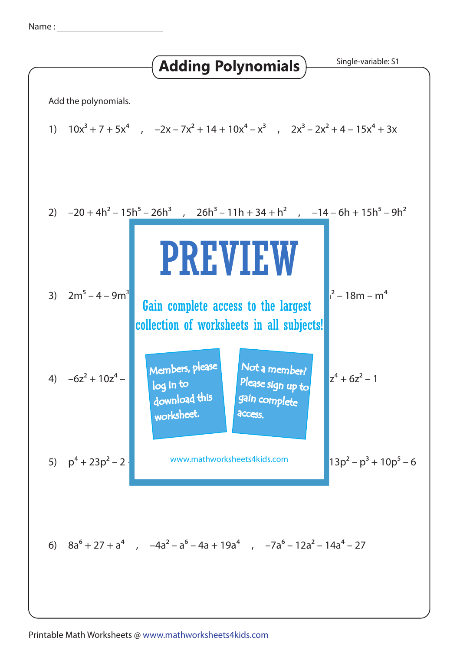